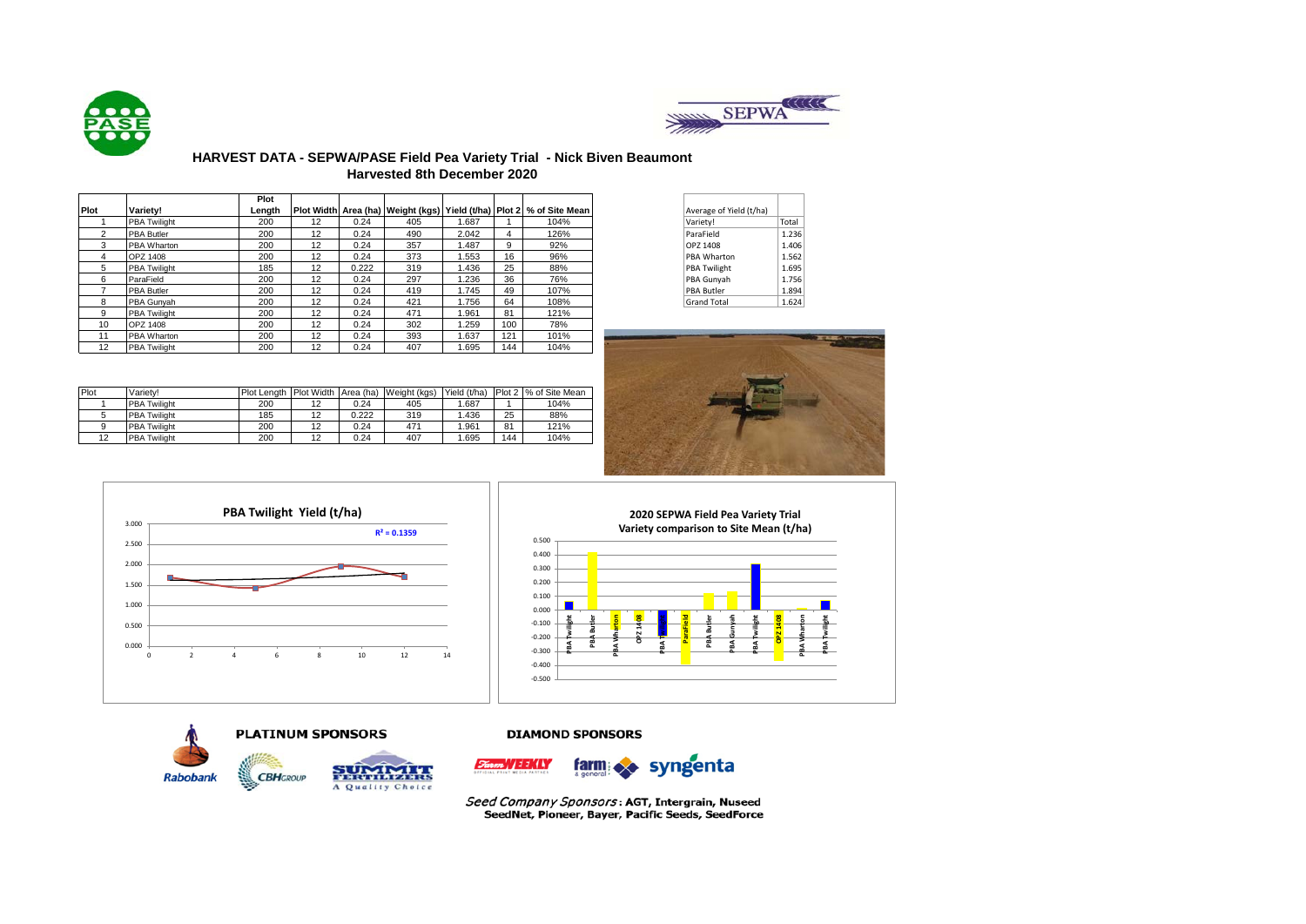



### **HARVEST DATA - SEPWA/PASE Field Pea Variety Trial - Nick Biven Beaumont Harvested 8th December 2020**

|             |                     | Plot   |                   |       |     |       |     |                                                                              |                         |       |
|-------------|---------------------|--------|-------------------|-------|-----|-------|-----|------------------------------------------------------------------------------|-------------------------|-------|
| <b>Plot</b> | Variety!            | Length |                   |       |     |       |     | Plot Width   Area (ha)   Weight (kgs)   Yield (t/ha)   Plot 2 % of Site Mean | Average of Yield (t/ha) |       |
|             | <b>PBA Twilight</b> | 200    | $12 \overline{ }$ | 0.24  | 405 | .687  |     | 104%                                                                         | Variety!                | Total |
|             | <b>PBA Butler</b>   | 200    | 12                | 0.24  | 490 | 2.042 | 4   | 126%                                                                         | ParaField               | 1.236 |
|             | PBA Wharton         | 200    | 12                | 0.24  | 357 | 1.487 | 9   | 92%                                                                          | OPZ 1408                | 1.406 |
|             | OPZ 1408            | 200    | 12                | 0.24  | 373 | .553  | 16  | 96%                                                                          | PBA Wharton             | 1.562 |
| 5           | <b>PBA Twilight</b> | 185    | 12                | 0.222 | 319 | 1.436 | 25  | 88%                                                                          | <b>PBA Twilight</b>     | 1.695 |
|             | ParaField           | 200    | 12                | 0.24  | 297 | .236  | 36  | 76%                                                                          | PBA Gunvah              | 1.756 |
|             | <b>PBA Butler</b>   | 200    | 12                | 0.24  | 419 | 1.745 | 49  | 107%                                                                         | <b>PBA Butler</b>       | 1.894 |
| 8           | PBA Gunvah          | 200    | 12                | 0.24  | 421 | 1.756 | 64  | 108%                                                                         | <b>Grand Total</b>      | 1.624 |
| g           | <b>PBA Twilight</b> | 200    | 12                | 0.24  | 471 | .961  | 81  | 121%                                                                         |                         |       |
| 10          | OPZ 1408            | 200    | 12                | 0.24  | 302 | 1.259 | 100 | 78%                                                                          |                         |       |
| 11          | PBA Wharton         | 200    | 12                | 0.24  | 393 | 1.637 | 121 | 101%                                                                         |                         |       |
| 12          | <b>PBA Twilight</b> | 200    | 12                | 0.24  | 407 | .695  | 144 | 104%                                                                         |                         |       |

| Plot | Variety!            | Plot Lenath |    |       | Plot Width Area (ha) Weight (kgs) | Yield (t/ha) |     | Plot 2 % of Site Mean |
|------|---------------------|-------------|----|-------|-----------------------------------|--------------|-----|-----------------------|
|      | <b>PBA Twilight</b> | 200         | 12 | 0.24  | 405                               | 1.687        |     | 104%                  |
|      | <b>PBA Twilight</b> | 185         | 12 | 0.222 | 319                               | 1.436        | 25  | 88%                   |
|      | <b>PBA Twilight</b> | 200         | 12 | 0.24  | 471                               | 1.961        | 81  | 121%                  |
|      | <b>PBA Twilight</b> | 200         | 12 | 0.24  | 407                               | 1.695        | 144 | 104%                  |

| Average of Yield (t/ha) |       |
|-------------------------|-------|
| Variety!                | Total |
| ParaField               | 1.236 |
| OPZ 1408                | 1.406 |
| <b>PRA Wharton</b>      | 1.562 |
| <b>PBA Twilight</b>     | 1.695 |
| PBA Gunyah              | 1.756 |
| <b>PBA Butler</b>       | 1.894 |
| <b>Grand Total</b>      | 1.624 |





**2020 SEPWA Field Pea Variety Trial Variety comparison to Site Mean (t/ha)**







**DIAMOND SPONSORS** 



Seed Company Sponsors: AGT, Intergrain, Nuseed SeedNet, Pioneer, Bayer, Pacific Seeds, SeedForce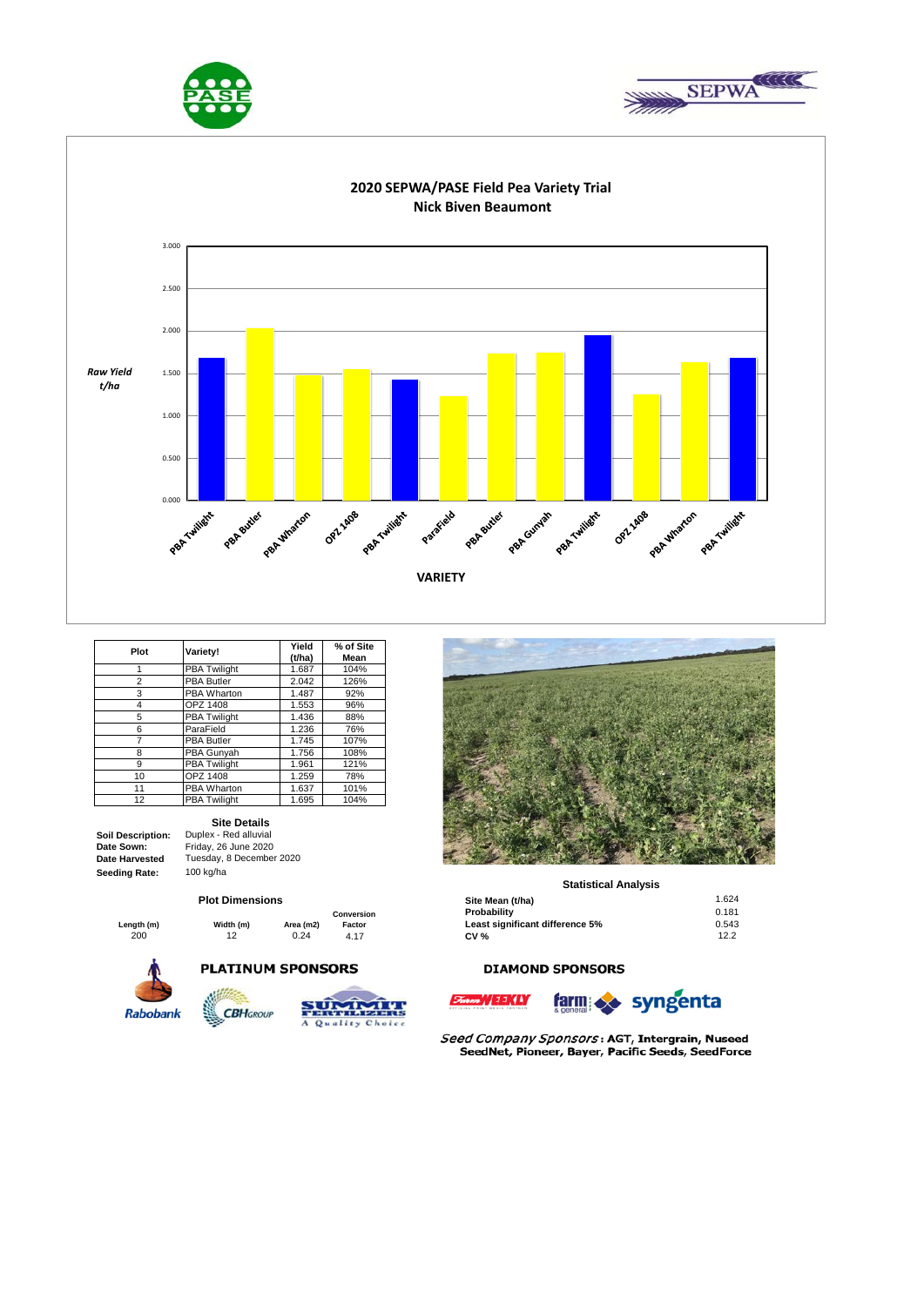





| Plot           | Variety!            | Yield<br>(t/ha) | % of Site<br>Mean |
|----------------|---------------------|-----------------|-------------------|
|                | <b>PBA Twilight</b> | 1.687           | 104%              |
| $\overline{2}$ | <b>PBA Butler</b>   | 2.042           | 126%              |
| 3              | PBA Wharton         | 1.487           | 92%               |
| $\overline{4}$ | OPZ 1408            | 1.553           | 96%               |
| 5              | <b>PBA Twilight</b> | 1.436           | 88%               |
| 6              | ParaField           | 1.236           | 76%               |
| 7              | <b>PBA Butler</b>   | 1.745           | 107%              |
| 8              | PBA Gunyah          | 1.756           | 108%              |
| 9              | <b>PBA Twilight</b> | 1.961           | 121%              |
| 10             | OPZ 1408            | 1.259           | 78%               |
| 11             | PBA Wharton         | 1.637           | 101%              |
| 12             | <b>PBA Twilight</b> | 1.695           | 104%              |

#### **Site Details**

**Date Sown: Date Harvested Seeding Rate:** 100 kg/ha

**Soil Description:** Duplex - Red alluvial Friday, 26 June 2020 Tuesday, 8 December 2020

### **Plot Dimensions**

**CBHGROUP** 

| Length (m) |  |
|------------|--|
| 200        |  |



# **PLATINUM SPONSORS**





### **Statistical Analysis**

|           |           |                        | Site Mean (t/ha)                | 1.624 |
|-----------|-----------|------------------------|---------------------------------|-------|
|           |           | Conversion             | Probability                     | 0.181 |
| Width (m) | Area (m2) | Factor                 | Least significant difference 5% | 0.543 |
| 12        | 0.24      | 4.17                   | <b>CV %</b>                     | 12.2  |
|           |           | <b>Plot Dimensions</b> |                                 |       |



733.44



Seed Company Sponsors: AGT, Intergrain, Nuseed SeedNet, Pioneer, Bayer, Pacific Seeds, SeedForce